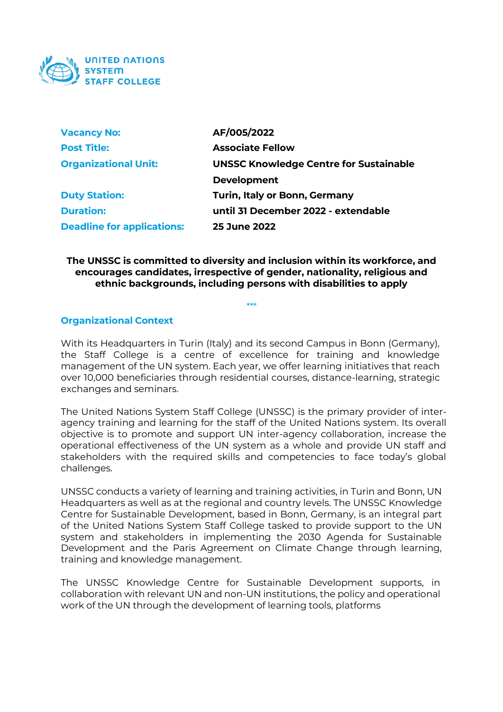

| <b>Vacancy No:</b>                | AF/005/2022                                   |
|-----------------------------------|-----------------------------------------------|
| <b>Post Title:</b>                | <b>Associate Fellow</b>                       |
| <b>Organizational Unit:</b>       | <b>UNSSC Knowledge Centre for Sustainable</b> |
|                                   | <b>Development</b>                            |
| <b>Duty Station:</b>              | <b>Turin, Italy or Bonn, Germany</b>          |
| <b>Duration:</b>                  | until 31 December 2022 - extendable           |
| <b>Deadline for applications:</b> | <b>25 June 2022</b>                           |

#### **The UNSSC is committed to diversity and inclusion within its workforce, and encourages candidates, irrespective of gender, nationality, religious and ethnic backgrounds, including persons with disabilities to apply**

\*\*\*

## **Organizational Context**

With its Headquarters in Turin (Italy) and its second Campus in Bonn (Germany), the Staff College is a centre of excellence for training and knowledge management of the UN system. Each year, we offer learning initiatives that reach over 10,000 beneficiaries through residential courses, distance-learning, strategic exchanges and seminars.

The United Nations System Staff College (UNSSC) is the primary provider of interagency training and learning for the staff of the United Nations system. Its overall objective is to promote and support UN inter-agency collaboration, increase the operational effectiveness of the UN system as a whole and provide UN staff and stakeholders with the required skills and competencies to face today's global challenges.

UNSSC conducts a variety of learning and training activities, in Turin and Bonn, UN Headquarters as well as at the regional and country levels. The UNSSC Knowledge Centre for Sustainable Development, based in Bonn, Germany, is an integral part of the United Nations System Staff College tasked to provide support to the UN system and stakeholders in implementing the 2030 Agenda for Sustainable Development and the Paris Agreement on Climate Change through learning, training and knowledge management.

The UNSSC Knowledge Centre for Sustainable Development supports, in collaboration with relevant UN and non-UN institutions, the policy and operational work of the UN through the development of learning tools, platforms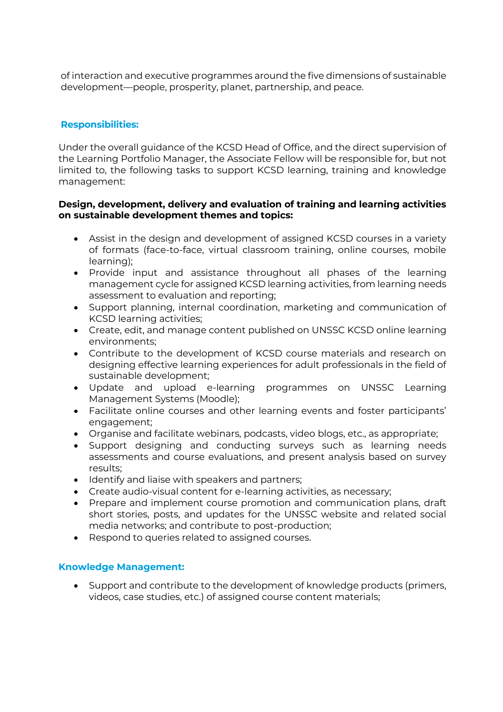of interaction and executive programmes around the five dimensions of sustainable development—people, prosperity, planet, partnership, and peace.

# **Responsibilities:**

Under the overall guidance of the KCSD Head of Office, and the direct supervision of the Learning Portfolio Manager, the Associate Fellow will be responsible for, but not limited to, the following tasks to support KCSD learning, training and knowledge management:

## **Design, development, delivery and evaluation of training and learning activities on sustainable development themes and topics:**

- Assist in the design and development of assigned KCSD courses in a variety of formats (face-to-face, virtual classroom training, online courses, mobile learning);
- Provide input and assistance throughout all phases of the learning management cycle for assigned KCSD learning activities, from learning needs assessment to evaluation and reporting;
- Support planning, internal coordination, marketing and communication of KCSD learning activities;
- Create, edit, and manage content published on UNSSC KCSD online learning environments;
- Contribute to the development of KCSD course materials and research on designing effective learning experiences for adult professionals in the field of sustainable development;
- Update and upload e-learning programmes on UNSSC Learning Management Systems (Moodle);
- Facilitate online courses and other learning events and foster participants' engagement;
- Organise and facilitate webinars, podcasts, video blogs, etc., as appropriate;
- Support designing and conducting surveys such as learning needs assessments and course evaluations, and present analysis based on survey results;
- Identify and liaise with speakers and partners;
- Create audio-visual content for e-learning activities, as necessary;
- Prepare and implement course promotion and communication plans, draft short stories, posts, and updates for the UNSSC website and related social media networks; and contribute to post-production;
- Respond to queries related to assigned courses.

#### **Knowledge Management:**

• Support and contribute to the development of knowledge products (primers, videos, case studies, etc.) of assigned course content materials;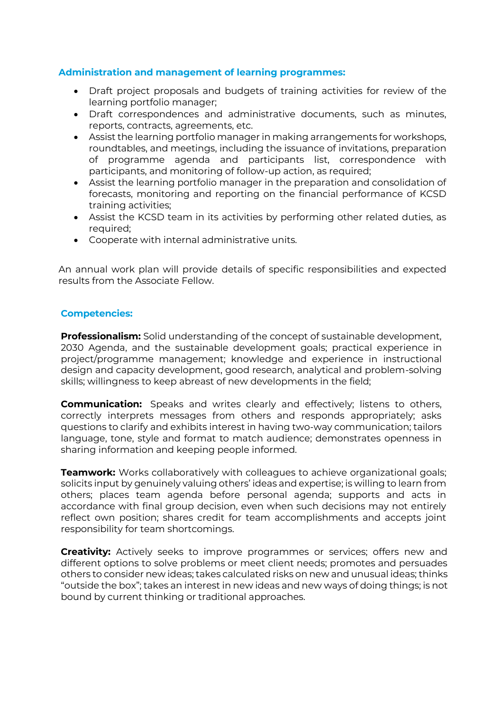## **Administration and management of learning programmes:**

- Draft project proposals and budgets of training activities for review of the learning portfolio manager;
- Draft correspondences and administrative documents, such as minutes, reports, contracts, agreements, etc.
- Assist the learning portfolio manager in making arrangements for workshops, roundtables, and meetings, including the issuance of invitations, preparation of programme agenda and participants list, correspondence with participants, and monitoring of follow-up action, as required;
- Assist the learning portfolio manager in the preparation and consolidation of forecasts, monitoring and reporting on the financial performance of KCSD training activities;
- Assist the KCSD team in its activities by performing other related duties, as required;
- Cooperate with internal administrative units.

An annual work plan will provide details of specific responsibilities and expected results from the Associate Fellow.

## **Competencies:**

**Professionalism:** Solid understanding of the concept of sustainable development, 2030 Agenda, and the sustainable development goals; practical experience in project/programme management; knowledge and experience in instructional design and capacity development, good research, analytical and problem-solving skills; willingness to keep abreast of new developments in the field;

**Communication:** Speaks and writes clearly and effectively; listens to others, correctly interprets messages from others and responds appropriately; asks questions to clarify and exhibits interest in having two-way communication; tailors language, tone, style and format to match audience; demonstrates openness in sharing information and keeping people informed.

**Teamwork:** Works collaboratively with colleagues to achieve organizational goals; solicits input by genuinely valuing others' ideas and expertise; is willing to learn from others; places team agenda before personal agenda; supports and acts in accordance with final group decision, even when such decisions may not entirely reflect own position; shares credit for team accomplishments and accepts joint responsibility for team shortcomings.

**Creativity:** Actively seeks to improve programmes or services; offers new and different options to solve problems or meet client needs; promotes and persuades others to consider new ideas; takes calculated risks on new and unusual ideas; thinks "outside the box"; takes an interest in new ideas and new ways of doing things; is not bound by current thinking or traditional approaches.